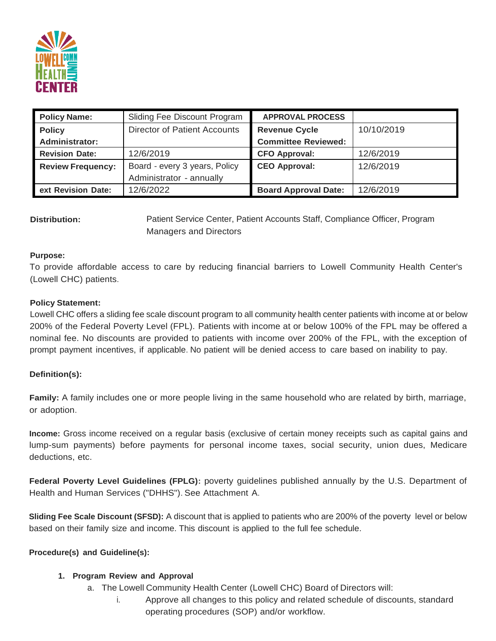

| <b>Policy Name:</b>      | Sliding Fee Discount Program        | <b>APPROVAL PROCESS</b>     |            |
|--------------------------|-------------------------------------|-----------------------------|------------|
| <b>Policy</b>            | <b>Director of Patient Accounts</b> | <b>Revenue Cycle</b>        | 10/10/2019 |
| <b>Administrator:</b>    |                                     | <b>Committee Reviewed:</b>  |            |
| <b>Revision Date:</b>    | 12/6/2019                           | <b>CFO Approval:</b>        | 12/6/2019  |
| <b>Review Frequency:</b> | Board - every 3 years, Policy       | <b>CEO Approval:</b>        | 12/6/2019  |
|                          | Administrator - annually            |                             |            |
| ext Revision Date:       | 12/6/2022                           | <b>Board Approval Date:</b> | 12/6/2019  |

**Distribution:** Patient Service Center, Patient Accounts Staff, Compliance Officer, Program Managers and Directors

#### **Purpose:**

To provide affordable access to care by reducing financial barriers to Lowell Community Health Center's (Lowell CHC) patients.

### **Policy Statement:**

Lowell CHC offers a sliding fee scale discount program to all community health center patients with income at or below 200% of the Federal Poverty Level (FPL). Patients with income at or below 100% of the FPL may be offered a nominal fee. No discounts are provided to patients with income over 200% of the FPL, with the exception of prompt payment incentives, if applicable. No patient will be denied access to care based on inability to pay.

#### **Definition(s):**

**Family:** A family includes one or more people living in the same household who are related by birth, marriage, or adoption.

**Income:** Gross income received on a regular basis (exclusive of certain money receipts such as capital gains and lump-sum payments) before payments for personal income taxes, social security, union dues, Medicare deductions, etc.

**Federal Poverty Level Guidelines (FPLG):** poverty guidelines published annually by the U.S. Department of Health and Human Services ("DHHS"). See Attachment A.

**Sliding Fee Scale Discount (SFSD):** A discount that is applied to patients who are 200% of the poverty level or below based on their family size and income. This discount is applied to the full fee schedule.

#### **Procedure(s) and Guideline(s):**

# **1. Program Review and Approval**

- a. The Lowell Community Health Center (Lowell CHC) Board of Directors will:
	- i. Approve all changes to this policy and related schedule of discounts, standard operating procedures (SOP) and/or workflow.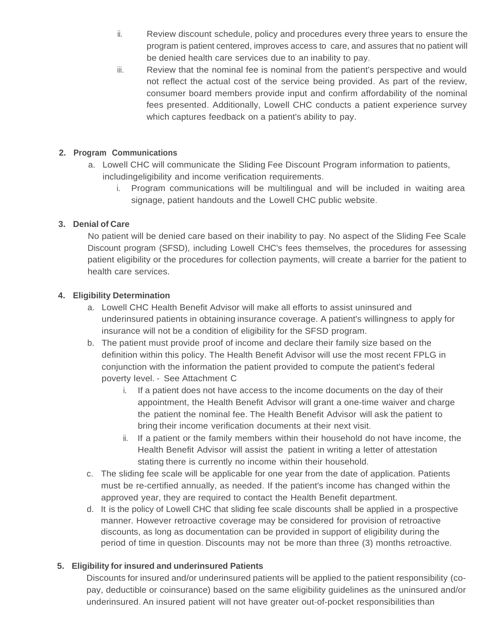- ii. Review discount schedule, policy and procedures every three years to ensure the program is patient centered, improves access to care, and assures that no patient will be denied health care services due to an inability to pay.
- iii. Review that the nominal fee is nominal from the patient's perspective and would not reflect the actual cost of the service being provided. As part of the review, consumer board members provide input and confirm affordability of the nominal fees presented. Additionally, Lowell CHC conducts a patient experience survey which captures feedback on a patient's ability to pay.

# **2. Program Communications**

- a. Lowell CHC will communicate the Sliding Fee Discount Program information to patients, includingeligibility and income verification requirements.
	- i. Program communications will be multilingual and will be included in waiting area signage, patient handouts and the Lowell CHC public website.

# **3. Denial of Care**

No patient will be denied care based on their inability to pay. No aspect of the Sliding Fee Scale Discount program (SFSD), including Lowell CHC's fees themselves, the procedures for assessing patient eligibility or the procedures for collection payments, will create a barrier for the patient to health care services.

# **4. Eligibility Determination**

- a. Lowell CHC Health Benefit Advisor will make all efforts to assist uninsured and underinsured patients in obtaining insurance coverage. A patient's willingness to apply for insurance will not be a condition of eligibility for the SFSD program.
- b. The patient must provide proof of income and declare their family size based on the definition within this policy. The Health Benefit Advisor will use the most recent FPLG in conjunction with the information the patient provided to compute the patient's federal poverty level. - See Attachment C
	- i. If a patient does not have access to the income documents on the day of their appointment, the Health Benefit Advisor will grant a one-time waiver and charge the patient the nominal fee. The Health Benefit Advisor will ask the patient to bring their income verification documents at their next visit.
	- ii. If a patient or the family members within their household do not have income, the Health Benefit Advisor will assist the patient in writing a letter of attestation stating there is currently no income within their household.
- c. The sliding fee scale will be applicable for one year from the date of application. Patients must be re-certified annually, as needed. If the patient's income has changed within the approved year, they are required to contact the Health Benefit department.
- d. It is the policy of Lowell CHC that sliding fee scale discounts shall be applied in a prospective manner. However retroactive coverage may be considered for provision of retroactive discounts, as long as documentation can be provided in support of eligibility during the period of time in question. Discounts may not be more than three (3) months retroactive.

# **5. Eligibility for insured and underinsured Patients**

Discounts for insured and/or underinsured patients will be applied to the patient responsibility (copay, deductible or coinsurance) based on the same eligibility guidelines as the uninsured and/or underinsured. An insured patient will not have greater out-of-pocket responsibilities than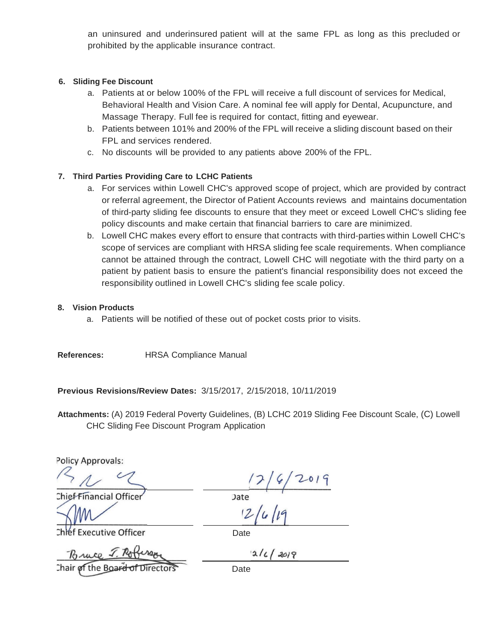an uninsured and underinsured patient will at the same FPL as long as this precluded or prohibited by the applicable insurance contract.

### **6. Sliding Fee Discount**

- a. Patients at or below 100% of the FPL will receive a full discount of services for Medical, Behavioral Health and Vision Care. A nominal fee will apply for Dental, Acupuncture, and Massage Therapy. Full fee is required for contact, fitting and eyewear.
- b. Patients between 101% and 200% of the FPL will receive a sliding discount based on their FPL and services rendered.
- c. No discounts will be provided to any patients above 200% of the FPL.

# **7. Third Parties Providing Care to LCHC Patients**

- a. For services within Lowell CHC's approved scope of project, which are provided by contract or referral agreement, the Director of Patient Accounts reviews and maintains documentation of third-party sliding fee discounts to ensure that they meet or exceed Lowell CHC's sliding fee policy discounts and make certain that financial barriers to care are minimized.
- b. Lowell CHC makes every effort to ensure that contracts with third-parties within Lowell CHC's scope of services are compliant with HRSA sliding fee scale requirements. When compliance cannot be attained through the contract, Lowell CHC will negotiate with the third party on a patient by patient basis to ensure the patient's financial responsibility does not exceed the responsibility outlined in Lowell CHC's sliding fee scale policy.

### **8. Vision Products**

a. Patients will be notified of these out of pocket costs prior to visits.

**References:** HRSA Compliance Manual

**Previous Revisions/Review Dates:** 3/15/2017, 2/15/2018, 10/11/2019

**Attachments:** (A) 2019 Federal Poverty Guidelines, (B) LCHC 2019 Sliding Fee Discount Scale, (C) Lowell CHC Sliding Fee Discount Program Application

**Policy Approvals:** 

 $216/2019$ 

Chief Financial Office

**Date** 

Date

**Executive Officer** 

Chair of the Board of

Date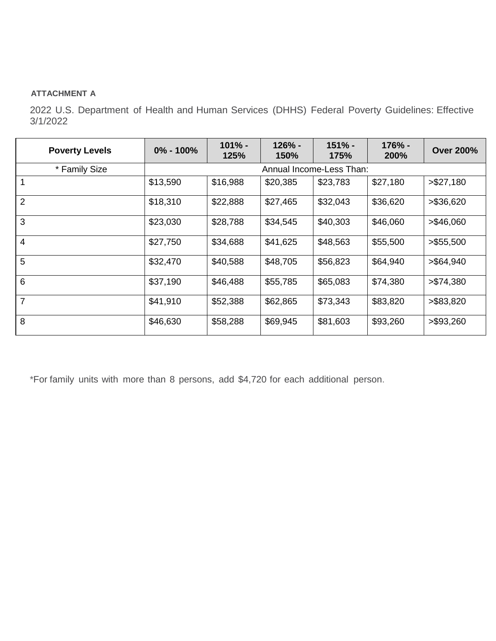### **ATTACHMENT A**

2022 U.S. Department of Health and Human Services (DHHS) Federal Poverty Guidelines: Effective 3/1/2022

| <b>Poverty Levels</b> | $0\% - 100\%$            | $101% -$<br>125% | $126% -$<br>150% | $151% -$<br>175% | 176% -<br><b>200%</b> | <b>Over 200%</b> |
|-----------------------|--------------------------|------------------|------------------|------------------|-----------------------|------------------|
| * Family Size         | Annual Income-Less Than: |                  |                  |                  |                       |                  |
| $\mathbf{1}$          | \$13,590                 | \$16,988         | \$20,385         | \$23,783         | \$27,180              | > \$27,180       |
| $\overline{2}$        | \$18,310                 | \$22,888         | \$27,465         | \$32,043         | \$36,620              | > \$36,620       |
| 3                     | \$23,030                 | \$28,788         | \$34,545         | \$40,303         | \$46,060              | > \$46,060       |
| $\overline{4}$        | \$27,750                 | \$34,688         | \$41,625         | \$48,563         | \$55,500              | > \$55,500       |
| 5                     | \$32,470                 | \$40,588         | \$48,705         | \$56,823         | \$64,940              | > \$64,940       |
| $6\phantom{1}$        | \$37,190                 | \$46,488         | \$55,785         | \$65,083         | \$74,380              | > \$74,380       |
| $\overline{7}$        | \$41,910                 | \$52,388         | \$62,865         | \$73,343         | \$83,820              | > \$83,820       |
| 8                     | \$46,630                 | \$58,288         | \$69,945         | \$81,603         | \$93,260              | > \$93,260       |

\*For family units with more than 8 persons, add \$4,720 for each additional person.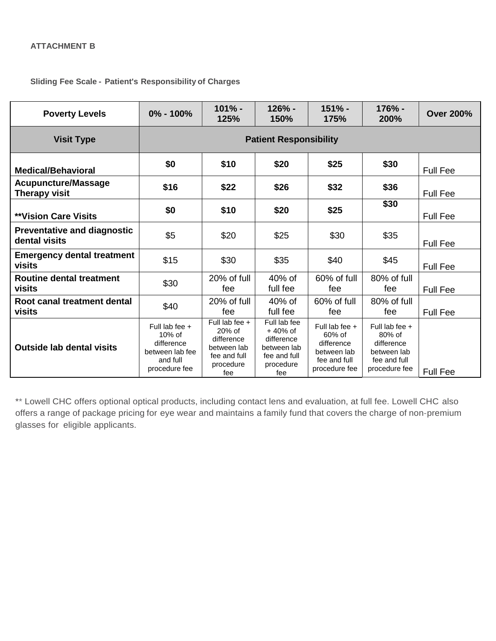**Sliding Fee Scale - Patient's Responsibility of Charges**

| <b>Poverty Levels</b>                               | $0\% - 100\%$                                                                               | $101% -$<br>125%                                                                              | $126% -$<br>150%                                                                           | $151% -$<br>175%                                                                       | 176% -<br>200%                                                                           | <b>Over 200%</b> |
|-----------------------------------------------------|---------------------------------------------------------------------------------------------|-----------------------------------------------------------------------------------------------|--------------------------------------------------------------------------------------------|----------------------------------------------------------------------------------------|------------------------------------------------------------------------------------------|------------------|
| <b>Visit Type</b>                                   | <b>Patient Responsibility</b>                                                               |                                                                                               |                                                                                            |                                                                                        |                                                                                          |                  |
| <b>Medical/Behavioral</b>                           | \$0                                                                                         | \$10                                                                                          | \$20                                                                                       | \$25                                                                                   | \$30                                                                                     | <b>Full Fee</b>  |
| <b>Acupuncture/Massage</b><br><b>Therapy visit</b>  | \$16                                                                                        | \$22                                                                                          | \$26                                                                                       | \$32                                                                                   | \$36                                                                                     | <b>Full Fee</b>  |
| <b>**Vision Care Visits</b>                         | \$0                                                                                         | \$10                                                                                          | \$20                                                                                       | \$25                                                                                   | \$30                                                                                     | <b>Full Fee</b>  |
| <b>Preventative and diagnostic</b><br>dental visits | \$5                                                                                         | \$20                                                                                          | \$25                                                                                       | \$30                                                                                   | \$35                                                                                     | <b>Full Fee</b>  |
| <b>Emergency dental treatment</b><br><b>visits</b>  | \$15                                                                                        | \$30                                                                                          | \$35                                                                                       | \$40                                                                                   | \$45                                                                                     | <b>Full Fee</b>  |
| Routine dental treatment<br>visits                  | \$30                                                                                        | 20% of full<br>fee                                                                            | $40\%$ of<br>full fee                                                                      | $60\%$ of full<br>fee                                                                  | 80% of full<br>fee                                                                       | <b>Full Fee</b>  |
| Root canal treatment dental<br>visits               | \$40                                                                                        | 20% of full<br>fee                                                                            | 40% of<br>full fee                                                                         | 60% of full<br>fee                                                                     | 80% of full<br>fee                                                                       | Full Fee         |
| <b>Outside lab dental visits</b>                    | Full lab fee $+$<br>$10\%$ of<br>difference<br>between lab fee<br>and full<br>procedure fee | Full lab fee $+$<br>$20%$ of<br>difference<br>between lab<br>fee and full<br>procedure<br>fee | Full lab fee<br>$+40%$ of<br>difference<br>between lab<br>fee and full<br>procedure<br>fee | Full lab fee +<br>60% of<br>difference<br>between lab<br>fee and full<br>procedure fee | Full lab fee $+$<br>80% of<br>difference<br>between lab<br>fee and full<br>procedure fee | <b>Full Fee</b>  |

\*\* Lowell CHC offers optional optical products, including contact lens and evaluation, at full fee. Lowell CHC also offers a range of package pricing for eye wear and maintains a family fund that covers the charge of non-premium glasses for eligible applicants.